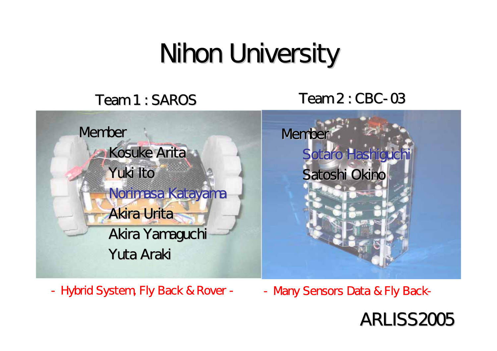## Nihon University

#### Team 1 : SAROS

#### S Team 2 : CBC-03



- Hybrid System, Fly Back & Rover -

- Many Sensors Data & Fly Back-

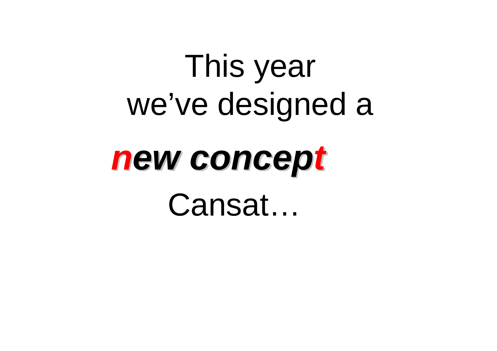# This year we've designed a

# *new concep ew concep t* Cansat…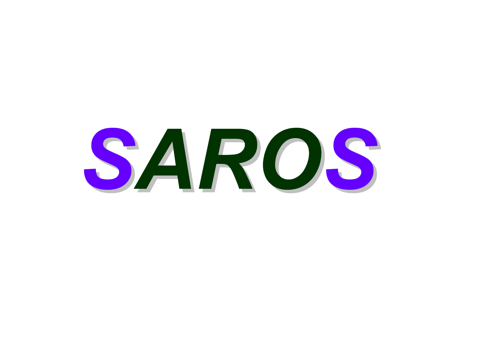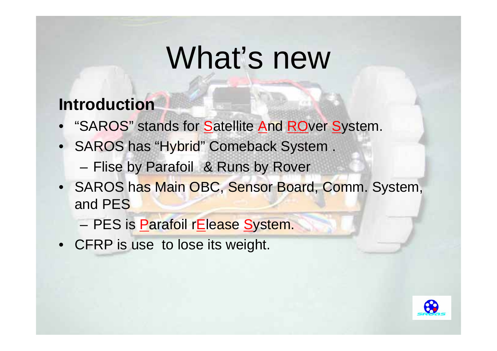## What's new

#### **Introduction**

- "SAROS" stands for Satellite And ROver System.
- •SAROS has "Hybrid" Comeback System.
	- and the state of the – Flise by Parafoil & Runs by Rover
- SAROS has Main OBC, Sensor Board, Comm. System, and PES
	- PES is <u>P</u>arafoil r<u>E</u>lease <u>S</u>ystem.
- CFRP is use to lose its weight.

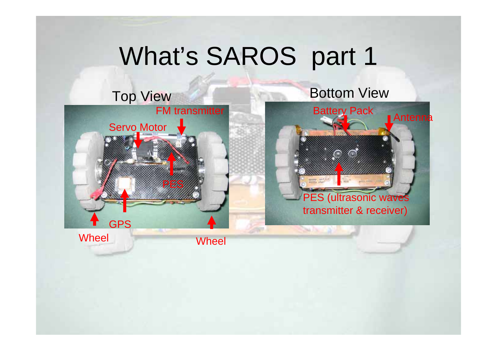## What's SAROS part 1



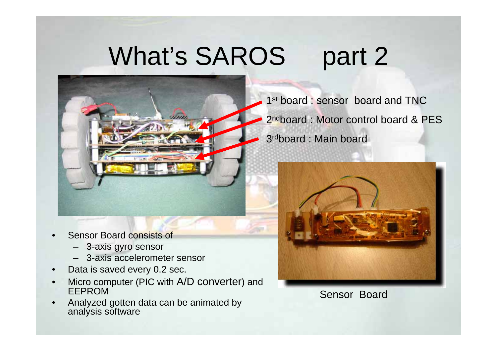## What's SAROS part 2



- •Sensor Board consists of
	- –3-axis gyro sensor
	- –3-axis accelerometer sensor
- •Data is saved every 0.2 sec.
- •Micro computer (PIC with A/D converter) and EEPROM
- •Analyzed gotten data can be animated by analysis software

1st board : sensor board and TNC 2<sup>nd</sup>board : Motor control board & PES 3rdboard : Main board



Sensor Board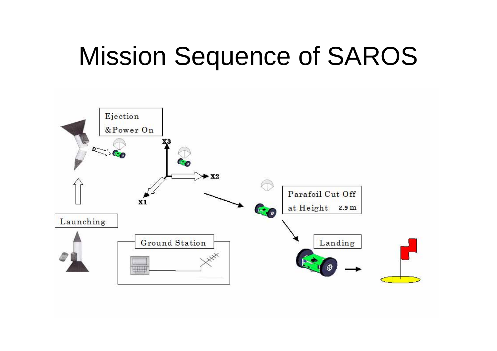## Mission Sequence of SAROS

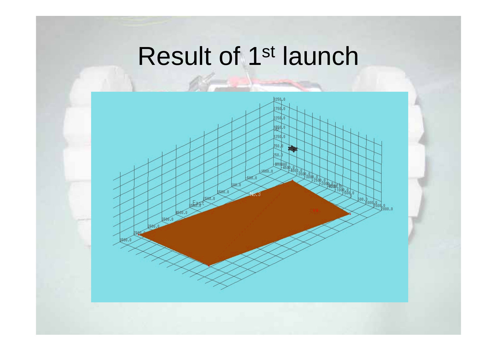## Result of 1st launch

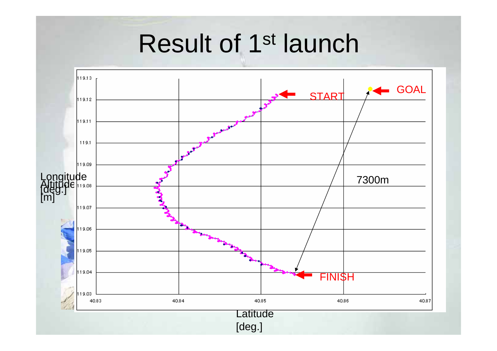## Result of 1st launch

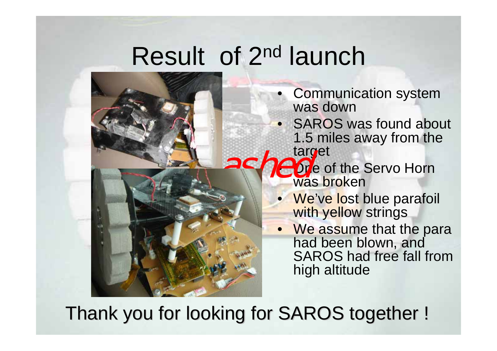## Result of 2nd launch





- Communication system was down
- SAROS was found about 1.5 miles away from the target
- **Parties** of the Servo Horn was broken
	- **We've lost blue parafoil** with yellow strings
	- We assume that the para had been blown, and SAROS had free fall from high altitude

Thank you for looking for SAROS together !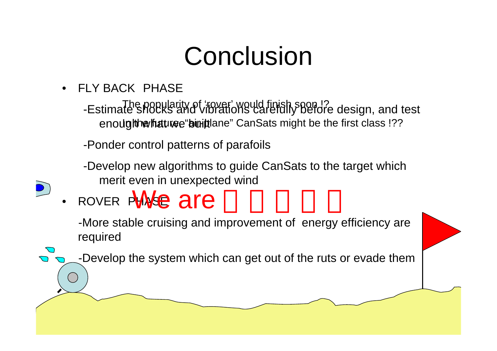## Conclusion

- • FLY BACK PHASE
	- The popularity of 'rover' would finish soon !? eno**ughhwhatuœe"biuit**tlane" CanSats might be the first class !?? -Estimate shocks and vibrations carefully before design, and test
	- -Ponder control patterns of parafoils
	- -Develop new algorithms to guide CanSats to the target which merit even in unexpected wind
- •· ROVER PHASE are

-More stable cruising and improvement of energy efficiency are required

-Develop the system which can get out of the ruts or evade them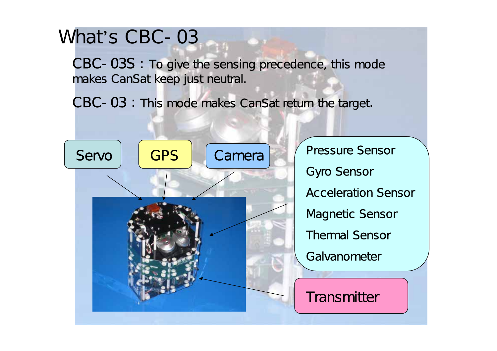#### What's CBC-03

CBC-03S : To give the sensing precedence, this mode makes CanSat keep just neutral.

CBC-03: This mode makes CanSat return the target.



Pressure Sensor Gyro Sensor Acceleration Sensor Magnetic Sensor Thermal SensorGalvanometer

Transmitter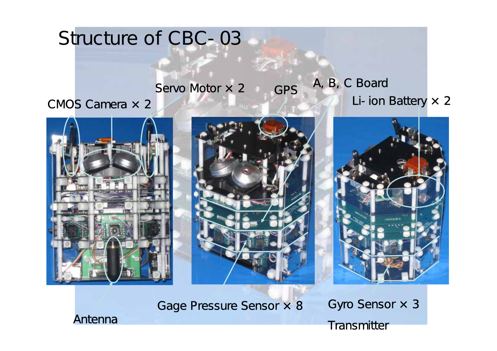### Structure of CBC-03

#### GPSServo Motor  $\times$  2 GPS A, B, C Board Li-ion Battery  $\times$  2

CMOS Camera × 2







#### Gage Pressure Sensor × 8

Gyro Sensor × 3 Transmitter

Antenna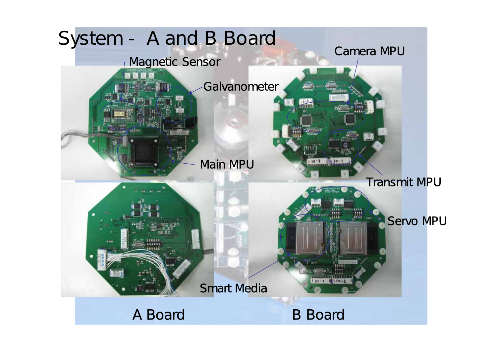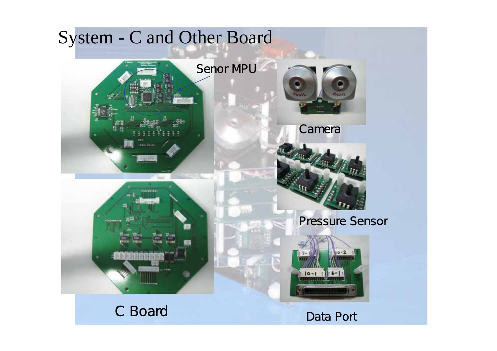#### System - C and Other Board

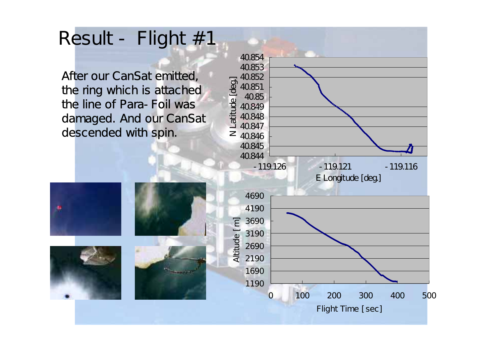### Result - Flight # 1

After our CanSat emitted,<br>the ring which is attached<br>the line of Para-Foil was<br>damaged. And our CanSat descended with spin.





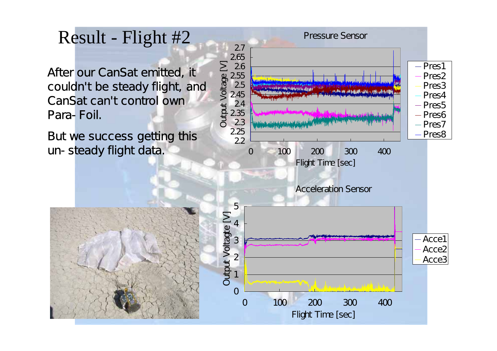#### Result - Flight #2

After our Ca n S at emitted, it couldn' t be steady flight, and CanSat can't control own Para-Foil.

But we success getting this un-steady flight data.